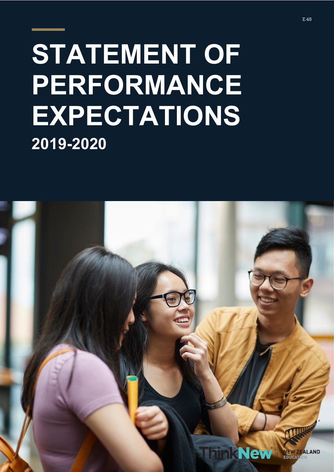# **STATEMENT OF PERFORMANCE EXPECTATIONS 2019-2020**

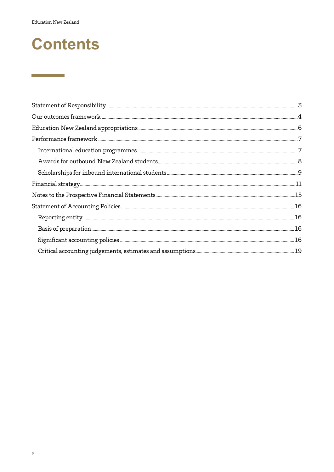**Contract Contract Contract** 

# **Contents**

| $\label{prop:main} {\small\textbf{Financial strategy}}\dots{\small\textbf{un}\normalsize\textbf{un}\normalsize\textbf{un}\normalsize\textbf{un}\normalsize\textbf{un}\normalsize\textbf{un}\normalsize\textbf{un}\normalsize\textbf{un}\normalsize\textbf{un}\normalsize\textbf{un}\normalsize\textbf{un}\normalsize\textbf{un}\normalsize\textbf{un}\normalsize\textbf{un}\normalsize\textbf{un}\normalsize\textbf{un}\normalsize\textbf{un}\normalsize\textbf{un}\normalsize\textbf{un}\normalsize\textbf{un}\normalsize\textbf{un}\normalsize\textbf{un}\normalsize\text$ |  |
|------------------------------------------------------------------------------------------------------------------------------------------------------------------------------------------------------------------------------------------------------------------------------------------------------------------------------------------------------------------------------------------------------------------------------------------------------------------------------------------------------------------------------------------------------------------------------|--|
|                                                                                                                                                                                                                                                                                                                                                                                                                                                                                                                                                                              |  |
|                                                                                                                                                                                                                                                                                                                                                                                                                                                                                                                                                                              |  |
|                                                                                                                                                                                                                                                                                                                                                                                                                                                                                                                                                                              |  |
|                                                                                                                                                                                                                                                                                                                                                                                                                                                                                                                                                                              |  |
|                                                                                                                                                                                                                                                                                                                                                                                                                                                                                                                                                                              |  |
|                                                                                                                                                                                                                                                                                                                                                                                                                                                                                                                                                                              |  |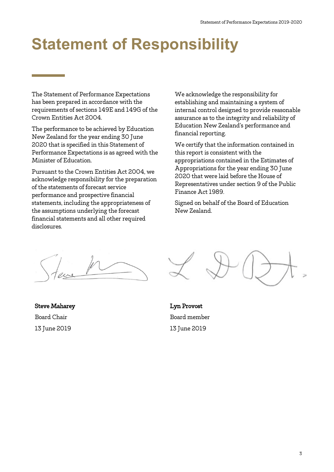# <span id="page-2-0"></span>**Statement of Responsibility**

The Statement of Performance Expectations has been prepared in accordance with the requirements of sections 149E and 149G of the Crown Entities Act 2004.

The performance to be achieved by Education New Zealand for the year ending 30 June 2020 that is specified in this Statement of Performance Expectations is as agreed with the Minister of Education.

Pursuant to the Crown Entities Act 2004, we acknowledge responsibility for the preparation of the statements of forecast service performance and prospective financial statements, including the appropriateness of the assumptions underlying the forecast financial statements and all other required disclosures.

We acknowledge the responsibility for establishing and maintaining a system of internal control designed to provide reasonable assurance as to the integrity and reliability of Education New Zealand's performance and financial reporting.

We certify that the information contained in this report is consistent with the appropriations contained in the Estimates of Appropriations for the year ending 30 June 2020 that were laid before the House of Representatives under section 9 of the Public Finance Act 1989.

Signed on behalf of the Board of Education New Zealand.

Steve Maharey Board Chair 13 June 2019

Lyn Provost Board member 13 June 2019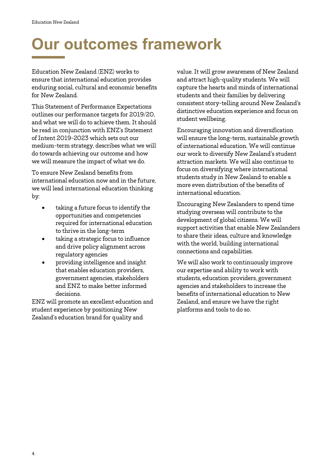Ī

# <span id="page-3-0"></span>**Our outcomes framework**

Education New Zealand (ENZ) works to ensure that international education provides enduring social, cultural and economic benefits for New Zealand.

This Statement of Performance Expectations outlines our performance targets for 2019/20, and what we will do to achieve them. It should be read in conjunction with ENZ's Statement of Intent 2019-2023 which sets out our medium-term strategy, describes what we will do towards achieving our outcome and how we will measure the impact of what we do.

To ensure New Zealand benefits from international education now and in the future, we will lead international education thinking by:

- taking a future focus to identify the opportunities and competencies required for international education to thrive in the long-term
- taking a strategic focus to influence and drive policy alignment across regulatory agencies
- providing intelligence and insight that enables education providers, government agencies, stakeholders and ENZ to make better informed decisions.

ENZ will promote an excellent education and student experience by positioning New Zealand's education brand for quality and

value. It will grow awareness of New Zealand and attract high-quality students. We will capture the hearts and minds of international students and their families by delivering consistent story-telling around New Zealand's distinctive education experience and focus on student wellbeing.

Encouraging innovation and diversification will ensure the long-term, sustainable growth of international education. We will continue our work to diversify New Zealand's student attraction markets. We will also continue to focus on diversifying where international students study in New Zealand to enable a more even distribution of the benefits of international education.

Encouraging New Zealanders to spend time studying overseas will contribute to the development of global citizens. We will support activities that enable New Zealanders to share their ideas, culture and knowledge with the world, building international connections and capabilities.

We will also work to continuously improve our expertise and ability to work with students, education providers, government agencies and stakeholders to increase the benefits of international education to New Zealand, and ensure we have the right platforms and tools to do so.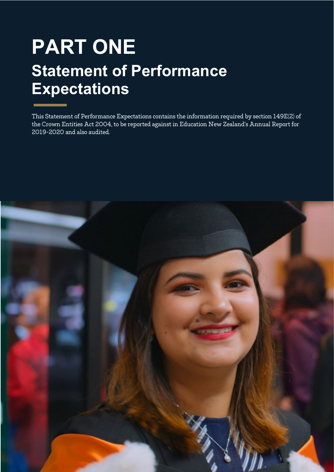# **PART ONE Statement of Performance Expectations**

This Statement of Performance Expectations contains the information required by section 149E(2) of the Crown Entities Act 2004, to be reported against in Education New Zealand's Annual Report for 2019-2020 and also audited.

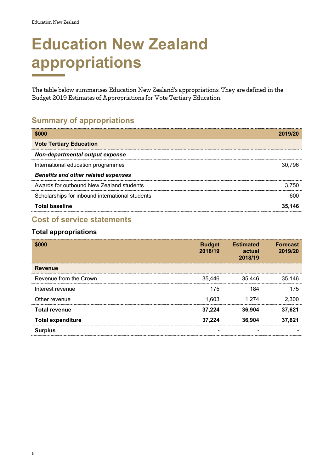I

# <span id="page-5-0"></span>**Education New Zealand appropriations**

The table below summarises Education New Zealand's appropriations. They are defined in the Budget 2019 Estimates of Appropriations for Vote Tertiary Education.

# **Summary of appropriations**

| <b>SOOO</b>                                     | 2019/20 |
|-------------------------------------------------|---------|
| <b>Vote Tertiary Education</b>                  |         |
| Non-departmental output expense                 |         |
| International education programmes              | 30.796  |
| <b>Benefits and other related expenses</b>      |         |
| Awards for outbound New Zealand students        | 3.750   |
| Scholarships for inbound international students |         |
| <b>Total baseline</b>                           |         |

# **Cost of service statements**

#### **Total appropriations**

| <b>\$000</b>             | <b>Budget</b><br>2018/19 | <b>Estimated</b><br><b>Contract Contract Contract Contract Contract Contract Contract Contract Contract Contract Contract Contract Co</b><br>actual<br>2018/19 | <b>Forecast</b><br>2019/20 |
|--------------------------|--------------------------|----------------------------------------------------------------------------------------------------------------------------------------------------------------|----------------------------|
| Revenue                  |                          |                                                                                                                                                                |                            |
| Revenue from the Crown   | 35.446                   | 35.446                                                                                                                                                         | 35.146                     |
| Interest revenue         | 175                      |                                                                                                                                                                | 75                         |
| Other revenue            | 1.603                    | 1.274                                                                                                                                                          | 2.300                      |
| <b>Total revenue</b>     | 37.224                   | 36.904                                                                                                                                                         | 37.621                     |
| <b>Total expenditure</b> | 37.224                   | 36.904                                                                                                                                                         | 37.621                     |
| <b>Surplus</b>           |                          |                                                                                                                                                                |                            |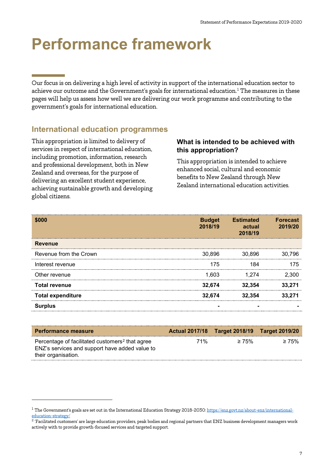# <span id="page-6-0"></span>**Performance framework**

Our focus is on delivering a high level of activity in support of the international education sector to achieve our outcome and the Government's goals for international education.<sup>[1](#page-6-2)</sup> The measures in these pages will help us assess how well we are delivering our work programme and contributing to the government's goals for international education.

# <span id="page-6-1"></span>**International education programmes**

This appropriation is limited to delivery of services in respect of international education, including promotion, information, research and professional development, both in New Zealand and overseas, for the purpose of delivering an excellent student experience, achieving sustainable growth and developing global citizens.

-

#### **What is intended to be achieved with this appropriation?**

This appropriation is intended to achieve enhanced social, cultural and economic benefits to New Zealand through New Zealand international education activities.

|                          | <b>Budget</b><br>2018/19 | <b>Estimated</b><br>actual<br>2018/19 | <b>Forecast</b><br>2019/20 |
|--------------------------|--------------------------|---------------------------------------|----------------------------|
| <b>Revenue</b>           |                          |                                       |                            |
| Revenue from the Crown   | 30.896                   | 30.896                                | 30.796                     |
| Interest revenue         | 175                      |                                       | 75                         |
| Other revenue            | 1.603                    | -274                                  | -300                       |
| <b>Total revenue</b>     | 32.674                   | 32.354                                |                            |
| <b>Total expenditure</b> | 32.674                   | 32.354                                |                            |
| Surplus                  |                          |                                       |                            |

| <b>Performance measure</b>                                                                                                           |     | Actual 2017/18 Target 2018/19 Target 2019/20 |             |
|--------------------------------------------------------------------------------------------------------------------------------------|-----|----------------------------------------------|-------------|
| Percentage of facilitated customers <sup>2</sup> that agree<br>ENZ's services and support have added value to<br>their organisation. | 71% | $\geq 75\%$                                  | $\geq 75\%$ |

<span id="page-6-2"></span><sup>&</sup>lt;sup>1</sup> The Government's goals are set out in the International Education Strategy 2018-2030[: https://enz.govt.nz/about-enz/international](https://enz.govt.nz/about-enz/international-education-strategy/)[education-strategy/](https://enz.govt.nz/about-enz/international-education-strategy/)

<span id="page-6-3"></span><sup>&</sup>lt;sup>2</sup> 'Facilitated customers' are large education providers, peak bodies and regional partners that ENZ business development managers work actively with to provide growth-focused services and targeted support.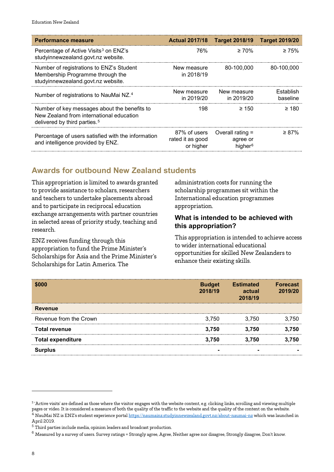| <b>Performance measure</b>                                                                                                           | <b>Actual 2017/18</b>                         | Target 2018/19  Target 2019/20                      |                       |
|--------------------------------------------------------------------------------------------------------------------------------------|-----------------------------------------------|-----------------------------------------------------|-----------------------|
| Percentage of Active Visits <sup>3</sup> on ENZ's<br>studyinnewzealand.govt.nz website.                                              | 76%                                           | $\geq 70\%$                                         | $\geq 75\%$           |
| Number of registrations to ENZ's Student<br>Membership Programme through the<br>studyinnewzealand.govt.nz website.                   | New measure<br>in 2018/19                     | 80-100.000                                          | 80-100.000            |
| Number of registrations to NauMai NZ. <sup>4</sup>                                                                                   | New measure<br>in 2019/20                     | New measure<br>in 2019/20                           | Establish<br>baseline |
| Number of key messages about the benefits to<br>New Zealand from international education<br>delivered by third parties. <sup>5</sup> | 198                                           | $\geq 150$                                          | $\geq 180$            |
| Percentage of users satisfied with the information<br>and intelligence provided by ENZ.                                              | 87% of users<br>rated it as good<br>or higher | Overall rating =<br>agree or<br>higher <sup>6</sup> | $\geq$ 87%            |

# <span id="page-7-0"></span>**Awards for outbound New Zealand students**

This appropriation is limited to awards granted to provide assistance to scholars, researchers and teachers to undertake placements abroad and to participate in reciprocal education exchange arrangements with partner countries in selected areas of priority study, teaching and research.

ENZ receives funding through this appropriation to fund the Prime Minister's Scholarships for Asia and the Prime Minister's Scholarships for Latin America. The

administration costs for running the scholarship programmes sit within the International education programmes appropriation.

#### **What is intended to be achieved with this appropriation?**

This appropriation is intended to achieve access to wider international educational opportunities for skilled New Zealanders to enhance their existing skills.

|                          | <b>Budget</b><br>2018/19 | <b>Estimated</b><br>actual<br>2018/19 | <b>Forecast</b><br>2019/20 |
|--------------------------|--------------------------|---------------------------------------|----------------------------|
| <b>Revenue</b>           |                          |                                       |                            |
| Revenue from the Crown   | 3.750                    | 3.750                                 | 750                        |
| <b>Total revenue</b>     | 3.750                    | 3.750                                 | 750                        |
| <b>Total expenditure</b> | 3.750                    | 3.750                                 | 750                        |
| <b>Surplus</b>           |                          |                                       |                            |

-

<span id="page-7-2"></span><span id="page-7-1"></span><sup>&</sup>lt;sup>3</sup> 'Active visits' are defined as those where the visitor engages with the website content, e.g. clicking links, scrolling and viewing multiple pages or video. It is considered a measure of both the quality of the traffic to the website and the quality of the content on the website. <sup>4</sup> NauMai NZ is ENZ's student experience portal <https://naumainz.studyinnewzealand.govt.nz/about-naumai-nz> which was launched in April 2019.

<span id="page-7-3"></span> $5<sup>1</sup>$  Third parties include media, opinion leaders and broadcast production.

<span id="page-7-4"></span> $^6$  Measured by a survey of users. Survey ratings = Strongly agree, Agree, Neither agree nor disagree, Strongly disagree, Don't know.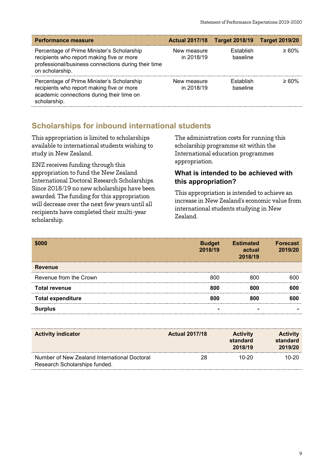| <b>Performance measure</b>                                                                                                                                        |                           | Actual 2017/18 Target 2018/19 Target 2019/20 |             |
|-------------------------------------------------------------------------------------------------------------------------------------------------------------------|---------------------------|----------------------------------------------|-------------|
| Percentage of Prime Minister's Scholarship<br>recipients who report making five or more<br>professional/business connections during their time<br>on scholarship. | New measure<br>in 2018/19 | <b>Establish</b><br>baseline                 | $\geq 60\%$ |
| Percentage of Prime Minister's Scholarship<br>recipients who report making five or more<br>academic connections during their time on<br>scholarship.              | New measure<br>in 2018/19 | <b>Establish</b><br>baseline                 | $\geq 60\%$ |

### <span id="page-8-0"></span>**Scholarships for inbound international students**

This appropriation is limited to scholarships available to international students wishing to study in New Zealand.

ENZ receives funding through this appropriation to fund the New Zealand International Doctoral Research Scholarships. Since 2018/19 no new scholarships have been awarded. The funding for this appropriation will decrease over the next few years until all recipients have completed their multi-year scholarship.

The administration costs for running this scholarship programme sit within the International education programmes appropriation.

#### **What is intended to be achieved with this appropriation?**

This appropriation is intended to achieve an increase in New Zealand's economic value from international students studying in New Zealand.

|                          | <b>Budget</b><br>2018/19 | Estimated<br>actual<br>2018/19 | <b>Forecast</b><br>2019/20 |
|--------------------------|--------------------------|--------------------------------|----------------------------|
| <b>Revenue</b>           |                          |                                |                            |
| Revenue from the Crown   |                          |                                | m                          |
| <b>Total revenue</b>     |                          |                                |                            |
| <b>Total expenditure</b> |                          |                                | m                          |
| rplus                    |                          |                                |                            |

| <b>Activity indicator</b>                                                     | <b>Actual 2017/18</b> | <b>Activity</b><br>standard<br>2018/19 | <b>Activity</b><br>standard<br>2019/20 |
|-------------------------------------------------------------------------------|-----------------------|----------------------------------------|----------------------------------------|
| Number of New Zealand International Doctoral<br>Research Scholarships funded. | 28                    | 10-20                                  | 10-20.                                 |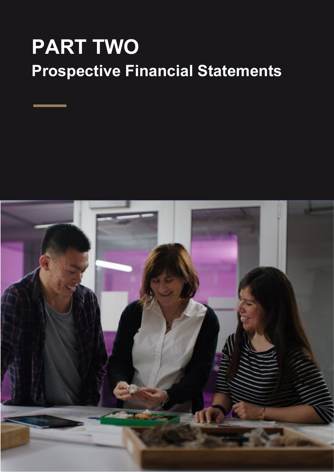# **PART TWO Prospective Financial Statements**

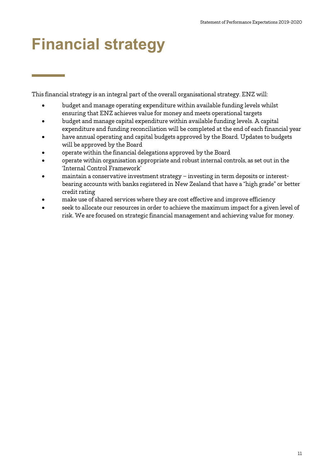# <span id="page-10-0"></span>**Financial strategy**

This financial strategy is an integral part of the overall organisational strategy. ENZ will:

- budget and manage operating expenditure within available funding levels whilst ensuring that ENZ achieves value for money and meets operational targets
- budget and manage capital expenditure within available funding levels. A capital expenditure and funding reconciliation will be completed at the end of each financial year
- have annual operating and capital budgets approved by the Board. Updates to budgets will be approved by the Board
- operate within the financial delegations approved by the Board
- operate within organisation appropriate and robust internal controls, as set out in the 'Internal Control Framework'
- maintain a conservative investment strategy investing in term deposits or interestbearing accounts with banks registered in New Zealand that have a "high grade" or better credit rating
- make use of shared services where they are cost effective and improve efficiency
- seek to allocate our resources in order to achieve the maximum impact for a given level of risk. We are focused on strategic financial management and achieving value for money.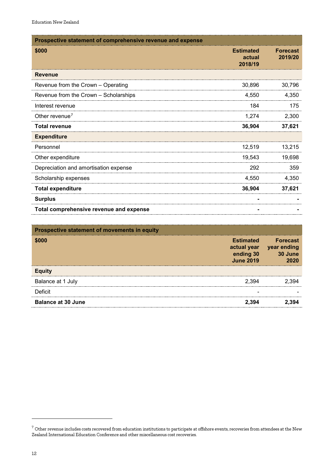| Prospective statement of comprehensive revenue and expense |                                       |                            |
|------------------------------------------------------------|---------------------------------------|----------------------------|
| \$000                                                      | <b>Estimated</b><br>actual<br>2018/19 | <b>Forecast</b><br>2019/20 |
| <b>Revenue</b>                                             |                                       |                            |
| Revenue from the Crown - Operating                         | 30,896                                | 30,796                     |
| Revenue from the Crown - Scholarships                      | 4,550                                 | 4,350                      |
| Interest revenue                                           | 184                                   | 175                        |
| Other revenue <sup>7</sup>                                 | 1.274                                 | 2,300                      |
| <b>Total revenue</b>                                       | 36,904                                | 37,621                     |
| <b>Expenditure</b>                                         |                                       |                            |
| Personnel                                                  | 12,519                                | 13,215                     |
| Other expenditure                                          | 19,543                                | 19,698                     |
| Depreciation and amortisation expense                      | 292                                   | 359                        |
| Scholarship expenses                                       | 4.550                                 | 4,350                      |
| <b>Total expenditure</b>                                   | 36,904                                | 37,621                     |
| <b>Surplus</b>                                             |                                       |                            |
| Total comprehensive revenue and expense                    |                                       |                            |

| <b>Prospective statement of movements in equity</b> |                                                   |                                                       |
|-----------------------------------------------------|---------------------------------------------------|-------------------------------------------------------|
|                                                     | <b>Estimated</b><br>ending 30<br><b>June 2019</b> | <b>Forecast</b><br>actual year year ending<br>30 June |
| Equity                                              |                                                   |                                                       |
| Balance at 1 July                                   | 2.394                                             |                                                       |
| Deficit                                             |                                                   |                                                       |
| <b>Balance at 30 June</b>                           | 2.394                                             |                                                       |

-

<span id="page-11-0"></span> $^7$  Other revenue includes costs recovered from education institutions to participate at offshore events, recoveries from attendees at the New Zealand International Education Conference and other miscellaneous cost recoveries.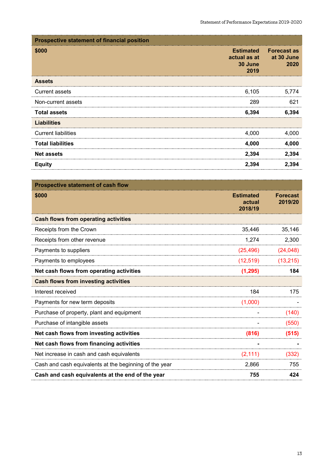| <b>Prospective statement of financial position</b> |                                                     |                                          |
|----------------------------------------------------|-----------------------------------------------------|------------------------------------------|
| \$000                                              | <b>Estimated</b><br>actual as at<br>30 June<br>2019 | <b>Forecast as</b><br>at 30 June<br>2020 |
| <b>Assets</b>                                      |                                                     |                                          |
| <b>Current assets</b>                              | 6,105                                               | 5.774                                    |
| Non-current assets                                 | 289                                                 | 621                                      |
| <b>Total assets</b>                                | 6,394                                               | 6.394                                    |
| <b>Liabilities</b>                                 |                                                     |                                          |
| <b>Current liabilities</b>                         | 4,000                                               | 4.000                                    |
| <b>Total liabilities</b>                           | 4,000                                               | 4.000                                    |
| <b>Net assets</b>                                  | 2,394                                               | 2,394                                    |
| <b>Equity</b>                                      | 2,394                                               | 2.394                                    |

| <b>Prospective statement of cash flow</b>              |                                       |                            |
|--------------------------------------------------------|---------------------------------------|----------------------------|
| \$000                                                  | <b>Estimated</b><br>actual<br>2018/19 | <b>Forecast</b><br>2019/20 |
| <b>Cash flows from operating activities</b>            |                                       |                            |
| Receipts from the Crown                                | 35,446                                | 35,146                     |
| Receipts from other revenue                            | 1,274                                 | 2,300                      |
| Payments to suppliers                                  | (25, 496)                             | (24, 048)                  |
| Payments to employees                                  | (12, 519)                             | (13, 215)                  |
| Net cash flows from operating activities               | (1, 295)                              | 184                        |
| <b>Cash flows from investing activities</b>            |                                       |                            |
| Interest received                                      | 184                                   | 175                        |
| Payments for new term deposits                         | (1,000)                               |                            |
| Purchase of property, plant and equipment              |                                       | (140)                      |
| Purchase of intangible assets                          |                                       | (550)                      |
| Net cash flows from investing activities               | (816)                                 | (515)                      |
| Net cash flows from financing activities               |                                       |                            |
| Net increase in cash and cash equivalents              | (2, 111)                              | (332)                      |
| Cash and cash equivalents at the beginning of the year | 2,866                                 | 755                        |
| Cash and cash equivalents at the end of the year       | 755                                   | 424                        |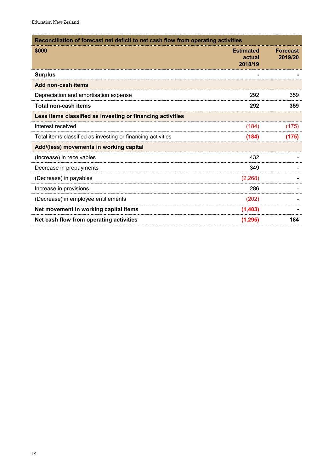| Reconciliation of forecast net deficit to net cash flow from operating activities |                                       |                            |
|-----------------------------------------------------------------------------------|---------------------------------------|----------------------------|
| \$000                                                                             | <b>Estimated</b><br>actual<br>2018/19 | <b>Forecast</b><br>2019/20 |
| <b>Surplus</b>                                                                    |                                       |                            |
| Add non-cash items                                                                |                                       |                            |
| Depreciation and amortisation expense                                             | 292                                   | 359                        |
| <b>Total non-cash items</b>                                                       | 292                                   | 359                        |
| Less items classified as investing or financing activities                        |                                       |                            |
| Interest received                                                                 | (184)                                 | (175)                      |
| Total items classified as investing or financing activities                       | (184)                                 | (175)                      |
| Add/(less) movements in working capital                                           |                                       |                            |
| (Increase) in receivables                                                         | 432                                   |                            |
| Decrease in prepayments                                                           | 349                                   |                            |
| (Decrease) in payables                                                            | (2, 268)                              |                            |
| Increase in provisions                                                            | 286                                   |                            |
| (Decrease) in employee entitlements                                               | (202)                                 |                            |
| Net movement in working capital items                                             | (1,403)                               |                            |
| Net cash flow from operating activities                                           | (1, 295)                              | 184                        |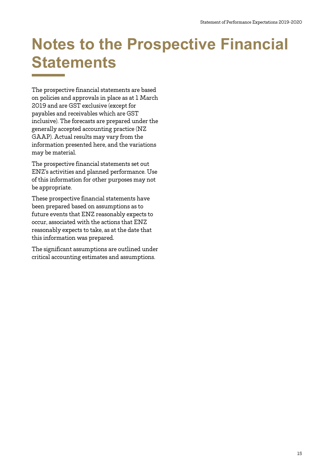# <span id="page-14-0"></span>**Notes to the Prospective Financial Statements**

The prospective financial statements are based on policies and approvals in place as at 1 March 2019 and are GST exclusive (except for payables and receivables which are GST inclusive). The forecasts are prepared under the generally accepted accounting practice (NZ GAAP). Actual results may vary from the information presented here, and the variations may be material.

The prospective financial statements set out ENZ's activities and planned performance. Use of this information for other purposes may not be appropriate.

These prospective financial statements have been prepared based on assumptions as to future events that ENZ reasonably expects to occur, associated with the actions that ENZ reasonably expects to take, as at the date that this information was prepared.

The significant assumptions are outlined under critical accounting estimates and assumptions.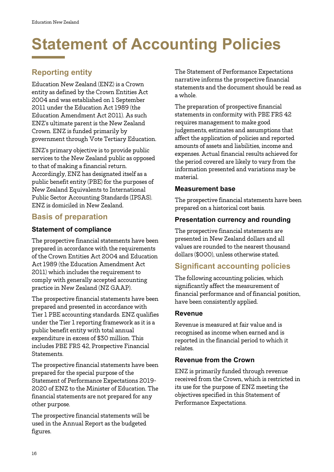# <span id="page-15-0"></span>**Statement of Accounting Policies**

# <span id="page-15-1"></span>**Reporting entity**

Education New Zealand (ENZ) is a Crown entity as defined by the Crown Entities Act 2004 and was established on 1 September 2011 under the Education Act 1989 (the Education Amendment Act 2011). As such ENZ's ultimate parent is the New Zealand Crown. ENZ is funded primarily by government through Vote Tertiary Education.

ENZ's primary objective is to provide public services to the New Zealand public as opposed to that of making a financial return. Accordingly, ENZ has designated itself as a public benefit entity (PBE) for the purposes of New Zealand Equivalents to International Public Sector Accounting Standards (IPSAS). ENZ is domiciled in New Zealand.

### <span id="page-15-2"></span>**Basis of preparation**

#### **Statement of compliance**

The prospective financial statements have been prepared in accordance with the requirements of the Crown Entities Act 2004 and Education Act 1989 (the Education Amendment Act 2011) which includes the requirement to comply with generally accepted accounting practice in New Zealand (NZ GAAP).

The prospective financial statements have been prepared and presented in accordance with Tier 1 PBE accounting standards. ENZ qualifies under the Tier 1 reporting framework as it is a public benefit entity with total annual expenditure in excess of \$30 million. This includes PBE FRS 42, Prospective Financial Statements.

The prospective financial statements have been prepared for the special purpose of the Statement of Performance Expectations 2019- 2020 of ENZ to the Minister of Education. The financial statements are not prepared for any other purpose.

The prospective financial statements will be used in the Annual Report as the budgeted figures.

The Statement of Performance Expectations narrative informs the prospective financial statements and the document should be read as a whole.

The preparation of prospective financial statements in conformity with PBE FRS 42 requires management to make good judgements, estimates and assumptions that affect the application of policies and reported amounts of assets and liabilities, income and expenses. Actual financial results achieved for the period covered are likely to vary from the information presented and variations may be material.

#### **Measurement base**

The prospective financial statements have been prepared on a historical cost basis.

### **Presentation currency and rounding**

The prospective financial statements are presented in New Zealand dollars and all values are rounded to the nearest thousand dollars (\$000), unless otherwise stated.

# <span id="page-15-3"></span>**Significant accounting policies**

The following accounting policies, which significantly affect the measurement of financial performance and of financial position, have been consistently applied.

#### **Revenue**

Revenue is measured at fair value and is recognised as income when earned and is reported in the financial period to which it relates.

#### **Revenue from the Crown**

ENZ is primarily funded through revenue received from the Crown, which is restricted in its use for the purpose of ENZ meeting the objectives specified in this Statement of Performance Expectations.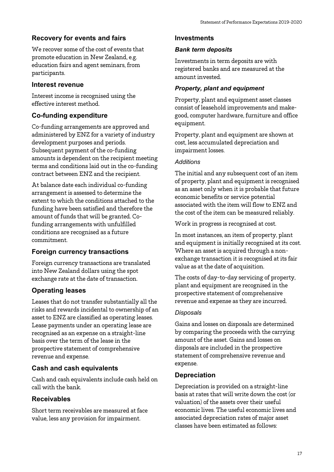#### **Recovery for events and fairs**

We recover some of the cost of events that promote education in New Zealand, e.g. education fairs and agent seminars, from participants.

#### **Interest revenue**

Interest income is recognised using the effective interest method.

#### **Co-funding expenditure**

Co-funding arrangements are approved and administered by ENZ for a variety of industry development purposes and periods. Subsequent payment of the co-funding amounts is dependent on the recipient meeting terms and conditions laid out in the co-funding contract between ENZ and the recipient.

At balance date each individual co-funding arrangement is assessed to determine the extent to which the conditions attached to the funding have been satisfied and therefore the amount of funds that will be granted. Cofunding arrangements with unfulfilled conditions are recognised as a future commitment.

#### **Foreign currency transactions**

Foreign currency transactions are translated into New Zealand dollars using the spot exchange rate at the date of transaction.

#### **Operating leases**

Leases that do not transfer substantially all the risks and rewards incidental to ownership of an asset to ENZ are classified as operating leases. Lease payments under an operating lease are recognised as an expense on a straight-line basis over the term of the lease in the prospective statement of comprehensive revenue and expense.

#### **Cash and cash equivalents**

Cash and cash equivalents include cash held on call with the bank.

#### **Receivables**

Short term receivables are measured at face value, less any provision for impairment.

#### **Investments**

#### *Bank term deposits*

Investments in term deposits are with registered banks and are measured at the amount invested.

#### *Property, plant and equipment*

Property, plant and equipment asset classes consist of leasehold improvements and makegood, computer hardware, furniture and office equipment.

Property, plant and equipment are shown at cost, less accumulated depreciation and impairment losses.

#### *Additions*

The initial and any subsequent cost of an item of property, plant and equipment is recognised as an asset only when it is probable that future economic benefits or service potential associated with the item will flow to ENZ and the cost of the item can be measured reliably.

Work in progress is recognised at cost.

In most instances, an item of property, plant and equipment is initially recognised at its cost. Where an asset is acquired through a nonexchange transaction it is recognised at its fair value as at the date of acquisition.

The costs of day-to-day servicing of property, plant and equipment are recognised in the prospective statement of comprehensive revenue and expense as they are incurred.

#### *Disposals*

Gains and losses on disposals are determined by comparing the proceeds with the carrying amount of the asset. Gains and losses on disposals are included in the prospective statement of comprehensive revenue and expense.

#### **Depreciation**

Depreciation is provided on a straight-line basis at rates that will write down the cost (or valuation) of the assets over their useful economic lives. The useful economic lives and associated depreciation rates of major asset classes have been estimated as follows: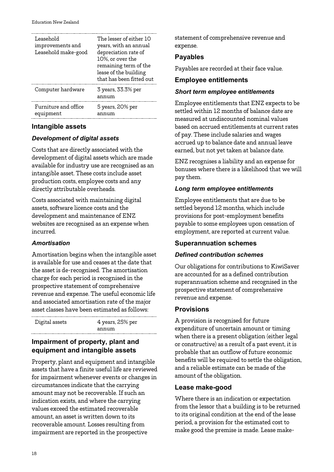| Leasehold<br>improvements and<br>Leasehold make-good | The lesser of either 10<br>years, with an annual<br>depreciation rate of<br>10%, or over the<br>remaining term of the<br>lease of the building<br>that has been fitted out |
|------------------------------------------------------|----------------------------------------------------------------------------------------------------------------------------------------------------------------------------|
| Computer hardware                                    | 3 years, 33.3% per<br>annum                                                                                                                                                |
| Furniture and office<br>equipment                    | 5 years, 20% per<br>annum                                                                                                                                                  |

#### **Intangible assets**

#### *Development of digital assets*

Costs that are directly associated with the development of digital assets which are made available for industry use are recognised as an intangible asset. These costs include asset production costs, employee costs and any directly attributable overheads.

Costs associated with maintaining digital assets, software licence costs and the development and maintenance of ENZ websites are recognised as an expense when incurred.

#### *Amortisation*

Amortisation begins when the intangible asset is available for use and ceases at the date that the asset is de-recognised. The amortisation charge for each period is recognised in the prospective statement of comprehensive revenue and expense. The useful economic life and associated amortisation rate of the major asset classes have been estimated as follows:

Digital assets 4 years, 25% per annum

#### **Impairment of property, plant and equipment and intangible assets**

Property, plant and equipment and intangible assets that have a finite useful life are reviewed for impairment whenever events or changes in circumstances indicate that the carrying amount may not be recoverable. If such an indication exists, and where the carrying values exceed the estimated recoverable amount, an asset is written down to its recoverable amount. Losses resulting from impairment are reported in the prospective

statement of comprehensive revenue and expense.

#### **Payables**

Payables are recorded at their face value.

#### **Employee entitlements**

#### *Short term employee entitlements*

Employee entitlements that ENZ expects to be settled within 12 months of balance date are measured at undiscounted nominal values based on accrued entitlements at current rates of pay. These include salaries and wages accrued up to balance date and annual leave earned, but not yet taken at balance date.

ENZ recognises a liability and an expense for bonuses where there is a likelihood that we will pay them.

#### *Long term employee entitlements*

Employee entitlements that are due to be settled beyond 12 months, which include provisions for post-employment benefits payable to some employees upon cessation of employment, are reported at current value.

#### **Superannuation schemes**

#### *Defined contribution schemes*

Our obligations for contributions to KiwiSaver are accounted for as a defined contribution superannuation scheme and recognised in the prospective statement of comprehensive revenue and expense.

#### **Provisions**

A provision is recognised for future expenditure of uncertain amount or timing when there is a present obligation (either legal or constructive) as a result of a past event, it is probable that an outflow of future economic benefits will be required to settle the obligation, and a reliable estimate can be made of the amount of the obligation.

#### **Lease make-good**

Where there is an indication or expectation from the lessor that a building is to be returned to its original condition at the end of the lease period, a provision for the estimated cost to make good the premise is made. Lease make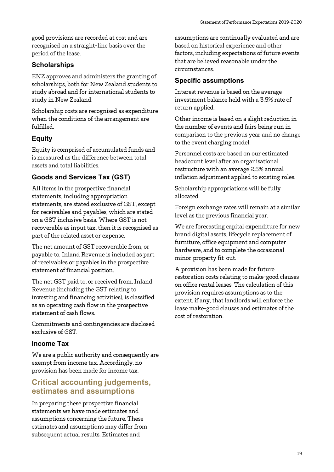good provisions are recorded at cost and are recognised on a straight-line basis over the period of the lease.

### **Scholarships**

ENZ approves and administers the granting of scholarships, both for New Zealand students to study abroad and for international students to study in New Zealand.

Scholarship costs are recognised as expenditure when the conditions of the arrangement are fulfilled.

### **Equity**

Equity is comprised of accumulated funds and is measured as the difference between total assets and total liabilities.

### **Goods and Services Tax (GST)**

All items in the prospective financial statements, including appropriation statements, are stated exclusive of GST, except for receivables and payables, which are stated on a GST inclusive basis. Where GST is not recoverable as input tax, then it is recognised as part of the related asset or expense.

The net amount of GST recoverable from, or payable to, Inland Revenue is included as part of receivables or payables in the prospective statement of financial position.

The net GST paid to, or received from, Inland Revenue (including the GST relating to investing and financing activities), is classified as an operating cash flow in the prospective statement of cash flows.

Commitments and contingencies are disclosed exclusive of GST.

#### **Income Tax**

We are a public authority and consequently are exempt from income tax. Accordingly, no provision has been made for income tax.

### <span id="page-18-0"></span>**Critical accounting judgements, estimates and assumptions**

In preparing these prospective financial statements we have made estimates and assumptions concerning the future. These estimates and assumptions may differ from subsequent actual results. Estimates and

assumptions are continually evaluated and are based on historical experience and other factors, including expectations of future events that are believed reasonable under the circumstances.

### **Specific assumptions**

Interest revenue is based on the average investment balance held with a 3.5% rate of return applied.

Other income is based on a slight reduction in the number of events and fairs being run in comparison to the previous year and no change to the event charging model.

Personnel costs are based on our estimated headcount level after an organisational restructure with an average 2.5% annual inflation adjustment applied to existing roles.

Scholarship appropriations will be fully allocated.

Foreign exchange rates will remain at a similar level as the previous financial year.

We are forecasting capital expenditure for new brand digital assets, lifecycle replacement of furniture, office equipment and computer hardware, and to complete the occasional minor property fit-out.

A provision has been made for future restoration costs relating to make-good clauses on office rental leases. The calculation of this provision requires assumptions as to the extent, if any, that landlords will enforce the lease make-good clauses and estimates of the cost of restoration.